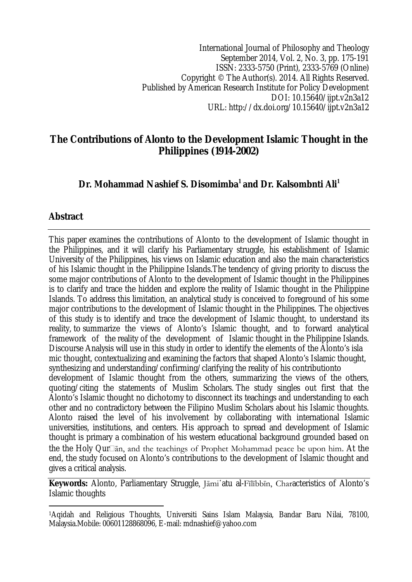International Journal of Philosophy and Theology September 2014, Vol. 2, No. 3, pp. 175-191 ISSN: 2333-5750 (Print), 2333-5769 (Online) Copyright © The Author(s). 2014. All Rights Reserved. Published by American Research Institute for Policy Development DOI: 10.15640/ijpt.v2n3a12 URL: http://dx.doi.org/10.15640/ijpt.v2n3a12

## **The Contributions of Alonto to the Development Islamic Thought in the Philippines (1914-2002)**

# **Dr. Mohammad Nashief S. Disomimba<sup>1</sup> and Dr. Kalsombnti Ali<sup>1</sup>**

### **Abstract**

This paper examines the contributions of Alonto to the development of Islamic thought in the Philippines, and it will clarify his Parliamentary struggle, his establishment of Islamic University of the Philippines, his views on Islamic education and also the main characteristics of his Islamic thought in the Philippine Islands.The tendency of giving priority to discuss the some major contributions of Alonto to the development of Islamic thought in the Philippines is to clarify and trace the hidden and explore the reality of Islamic thought in the Philippine Islands. To address this limitation, an analytical study is conceived to foreground of his some major contributions to the development of Islamic thought in the Philippines. The objectives of this study is to identify and trace the development of Islamic thought, to understand its reality, to summarize the views of Alonto's Islamic thought, and to forward analytical framework of the reality of the development of Islamic thought in the Philippine Islands. Discourse Analysis will use in this study in order to identify the elements of the Alonto's isla mic thought, contextualizing and examining the factors that shaped Alonto's Islamic thought, synthesizing and understanding/confirming/clarifying the reality of his contributionto development of Islamic thought from the others, summarizing the views of the others, quoting/citing the statements of Muslim Scholars. The study singles out first that the Alonto's Islamic thought no dichotomy to disconnect its teachings and understanding to each other and no contradictory between the Filipino Muslim Scholars about his Islamic thoughts. Alonto raised the level of his involvement by collaborating with international Islamic universities, institutions, and centers. His approach to spread and development of Islamic thought is primary a combination of his western educational background grounded based on the the Holy Qur $\Box$ an, and the teachings of Prophet Mohammad peace be upon him. At the end, the study focused on Alonto's contributions to the development of Islamic thought and gives a critical analysis.

**Keywords:** Alonto, Parliamentary Struggle, Jāmi῾atu al-Fīlībbīn, Characteristics of Alonto's Islamic thoughts

 $\overline{a}$ <sup>1</sup>Aqidah and Religious Thoughts, Universiti Sains Islam Malaysia, Bandar Baru Nilai, 78100, Malaysia.Mobile: 00601128868096, E-mail: mdnashief@yahoo.com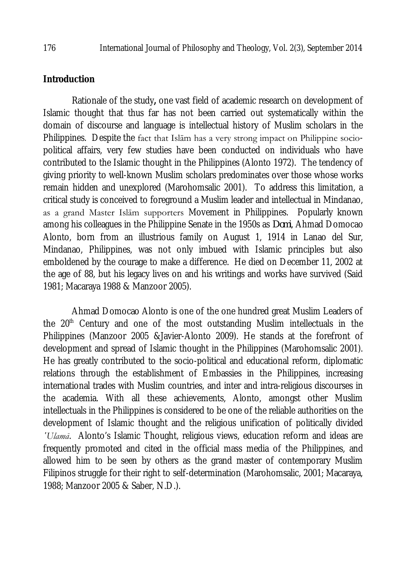#### **Introduction**

Rationale of the study**,** one vast field of academic research on development of Islamic thought that thus far has not been carried out systematically within the domain of discourse and language is intellectual history of Muslim scholars in the Philippines. Despite the fact that Islām has a very strong impact on Philippine sociopolitical affairs, very few studies have been conducted on individuals who have contributed to the Islamic thought in the Philippines (Alonto 1972). The tendency of giving priority to well-known Muslim scholars predominates over those whose works remain hidden and unexplored (Marohomsalic 2001). To address this limitation, a critical study is conceived to foreground a Muslim leader and intellectual in Mindanao, as a grand Master Islām supporters Movement in Philippines. Popularly known among his colleagues in the Philippine Senate in the 1950s as *Domi*, Ahmad Domocao Alonto, born from an illustrious family on August 1, 1914 in Lanao del Sur, Mindanao, Philippines, was not only imbued with Islamic principles but also emboldened by the courage to make a difference. He died on December 11, 2002 at the age of 88, but his legacy lives on and his writings and works have survived (Said 1981; Macaraya 1988 & Manzoor 2005).

Ahmad Domocao Alonto is one of the one hundred great Muslim Leaders of the  $20<sup>th</sup>$  Century and one of the most outstanding Muslim intellectuals in the Philippines (Manzoor 2005 &Javier-Alonto 2009). He stands at the forefront of development and spread of Islamic thought in the Philippines (Marohomsalic 2001). He has greatly contributed to the socio-political and educational reform, diplomatic relations through the establishment of Embassies in the Philippines, increasing international trades with Muslim countries, and inter and intra-religious discourses in the academia. With all these achievements, Alonto, amongst other Muslim intellectuals in the Philippines is considered to be one of the reliable authorities on the development of Islamic thought and the religious unification of politically divided *῾Ulamā*. Alonto's Islamic Thought, religious views, education reform and ideas are frequently promoted and cited in the official mass media of the Philippines, and allowed him to be seen by others as the grand master of contemporary Muslim Filipinos struggle for their right to self-determination (Marohomsalic, 2001; Macaraya, 1988; Manzoor 2005 & Saber, N.D.).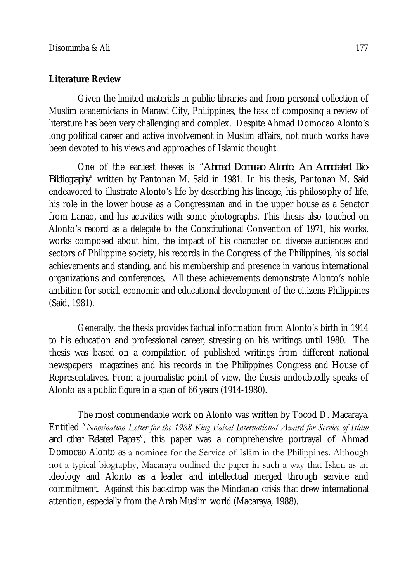#### **Literature Review**

Given the limited materials in public libraries and from personal collection of Muslim academicians in Marawi City, Philippines, the task of composing a review of literature has been very challenging and complex. Despite Ahmad Domocao Alonto's long political career and active involvement in Muslim affairs, not much works have been devoted to his views and approaches of Islamic thought.

One of the earliest theses is "*Ahmad Domocao Alonto: An Annotated Bio-Bibliography*" written by Pantonan M. Said in 1981. In his thesis, Pantonan M. Said endeavored to illustrate Alonto's life by describing his lineage, his philosophy of life, his role in the lower house as a Congressman and in the upper house as a Senator from Lanao, and his activities with some photographs. This thesis also touched on Alonto's record as a delegate to the Constitutional Convention of 1971, his works, works composed about him, the impact of his character on diverse audiences and sectors of Philippine society, his records in the Congress of the Philippines, his social achievements and standing, and his membership and presence in various international organizations and conferences. All these achievements demonstrate Alonto's noble ambition for social, economic and educational development of the citizens Philippines (Said, 1981).

Generally, the thesis provides factual information from Alonto's birth in 1914 to his education and professional career, stressing on his writings until 1980. The thesis was based on a compilation of published writings from different national newspapers magazines and his records in the Philippines Congress and House of Representatives. From a journalistic point of view, the thesis undoubtedly speaks of Alonto as a public figure in a span of 66 years (1914-1980).

The most commendable work on Alonto was written by Tocod D. Macaraya. Entitled "*Nomination Letter for the 1988 King Faisal International Award for Service of Islām and other Related Papers*", this paper was a comprehensive portrayal of Ahmad Domocao Alonto as a nominee for the Service of Islām in the Philippines. Although not a typical biography, Macaraya outlined the paper in such a way that Islām as an ideology and Alonto as a leader and intellectual merged through service and commitment. Against this backdrop was the Mindanao crisis that drew international attention, especially from the Arab Muslim world (Macaraya, 1988).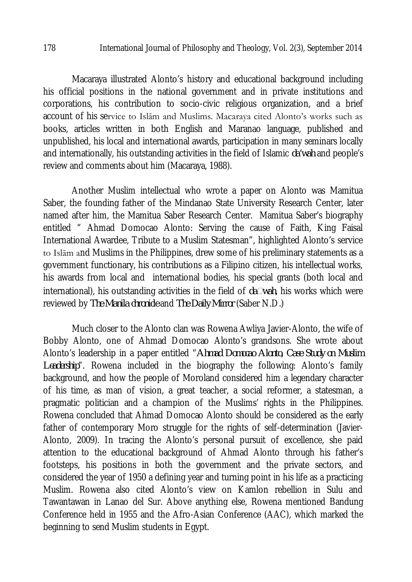Macaraya illustrated Alonto's history and educational background including his official positions in the national government and in private institutions and corporations, his contribution to socio-civic religious organization, and a brief account of his service to Islām and Muslims. Macaraya cited Alonto's works such as books, articles written in both English and Maranao language, published and unpublished, his local and international awards, participation in many seminars locally and internationally, his outstanding activities in the field of Islamic *da'wah* and people's review and comments about him (Macaraya, 1988).

Another Muslim intellectual who wrote a paper on Alonto was Mamitua Saber, the founding father of the Mindanao State University Research Center, later named after him, the Mamitua Saber Research Center. Mamitua Saber's biography entitled " Ahmad Domocao Alonto: Serving the cause of Faith, King Faisal International Awardee, Tribute to a Muslim Statesman", highlighted Alonto's service to Islām and Muslims in the Philippines, drew some of his preliminary statements as a government functionary, his contributions as a Filipino citizen, his intellectual works, his awards from local and international bodies, his special grants (both local and international), his outstanding activities in the field of *dawah*, his works which were reviewed by *The Manila chronicle* and *The Daily Mirror* (Saber N.D.)

Much closer to the Alonto clan was Rowena Awliya Javier-Alonto, the wife of Bobby Alonto, one of Ahmad Domocao Alonto's grandsons. She wrote about Alonto's leadership in a paper entitled "*Ahmad Domocao Alonto, Case Study on Muslim Leadership*". Rowena included in the biography the following: Alonto's family background, and how the people of Moroland considered him a legendary character of his time, as man of vision, a great teacher, a social reformer, a statesman, a pragmatic politician and a champion of the Muslims' rights in the Philippines. Rowena concluded that Ahmad Domocao Alonto should be considered as the early father of contemporary Moro struggle for the rights of self-determination (Javier-Alonto, 2009). In tracing the Alonto's personal pursuit of excellence, she paid attention to the educational background of Ahmad Alonto through his father's footsteps, his positions in both the government and the private sectors, and considered the year of 1950 a defining year and turning point in his life as a practicing Muslim. Rowena also cited Alonto's view on Kamlon rebellion in Sulu and Tawantawan in Lanao del Sur. Above anything else, Rowena mentioned Bandung Conference held in 1955 and the Afro-Asian Conference (AAC), which marked the beginning to send Muslim students in Egypt.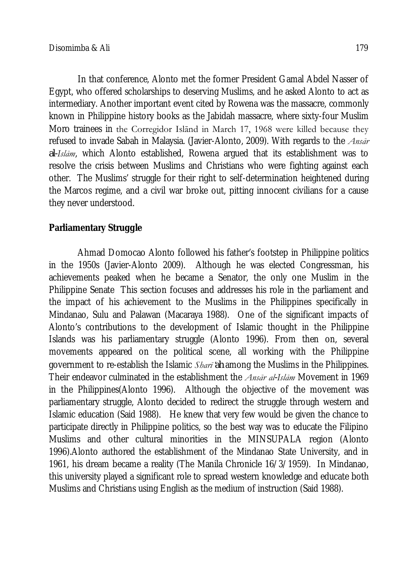In that conference, Alonto met the former President Gamal Abdel Nasser of Egypt, who offered scholarships to deserving Muslims, and he asked Alonto to act as intermediary. Another important event cited by Rowena was the massacre, commonly known in Philippine history books as the Jabidah massacre, where sixty-four Muslim Moro trainees in the Corregidor Islānd in March 17, 1968 were killed because they refused to invade Sabah in Malaysia. (Javier-Alonto, 2009). With regards to the *Ansār al-Islām*, which Alonto established, Rowena argued that its establishment was to resolve the crisis between Muslims and Christians who were fighting against each other. The Muslims' struggle for their right to self-determination heightened during the Marcos regime, and a civil war broke out, pitting innocent civilians for a cause they never understood.

## **Parliamentary Struggle**

Ahmad Domocao Alonto followed his father's footstep in Philippine politics in the 1950s (Javier-Alonto 2009). Although he was elected Congressman, his achievements peaked when he became a Senator, the only one Muslim in the Philippine Senate This section focuses and addresses his role in the parliament and the impact of his achievement to the Muslims in the Philippines specifically in Mindanao, Sulu and Palawan (Macaraya 1988). One of the significant impacts of Alonto's contributions to the development of Islamic thought in the Philippine Islands was his parliamentary struggle (Alonto 1996). From then on, several movements appeared on the political scene, all working with the Philippine government to re-establish the Islamic *Sharī ̒ah* among the Muslims in the Philippines. Their endeavor culminated in the establishment the *Ansār al-Islām* Movement in 1969 in the Philippines(Alonto 1996). Although the objective of the movement was parliamentary struggle, Alonto decided to redirect the struggle through western and Islamic education (Said 1988). He knew that very few would be given the chance to participate directly in Philippine politics, so the best way was to educate the Filipino Muslims and other cultural minorities in the MINSUPALA region (Alonto 1996).Alonto authored the establishment of the Mindanao State University, and in 1961, his dream became a reality (The Manila Chronicle 16/3/1959). In Mindanao, this university played a significant role to spread western knowledge and educate both Muslims and Christians using English as the medium of instruction (Said 1988).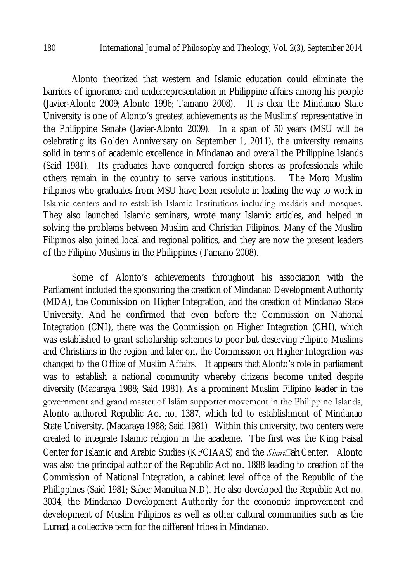Alonto theorized that western and Islamic education could eliminate the barriers of ignorance and underrepresentation in Philippine affairs among his people (Javier-Alonto 2009; Alonto 1996; Tamano 2008). It is clear the Mindanao State University is one of Alonto's greatest achievements as the Muslims' representative in the Philippine Senate (Javier-Alonto 2009). In a span of 50 years (MSU will be celebrating its Golden Anniversary on September 1, 2011), the university remains solid in terms of academic excellence in Mindanao and overall the Philippine Islands (Said 1981). Its graduates have conquered foreign shores as professionals while others remain in the country to serve various institutions. The Moro Muslim Filipinos who graduates from MSU have been resolute in leading the way to work in Islamic centers and to establish Islamic Institutions including madāris and mosques. They also launched Islamic seminars, wrote many Islamic articles, and helped in solving the problems between Muslim and Christian Filipinos. Many of the Muslim Filipinos also joined local and regional politics, and they are now the present leaders of the Filipino Muslims in the Philippines (Tamano 2008).

Some of Alonto's achievements throughout his association with the Parliament included the sponsoring the creation of Mindanao Development Authority (MDA), the Commission on Higher Integration, and the creation of Mindanao State University. And he confirmed that even before the Commission on National Integration (CNI), there was the Commission on Higher Integration (CHI), which was established to grant scholarship schemes to poor but deserving Filipino Muslims and Christians in the region and later on, the Commission on Higher Integration was changed to the Office of Muslim Affairs. It appears that Alonto's role in parliament was to establish a national community whereby citizens become united despite diversity (Macaraya 1988; Said 1981). As a prominent Muslim Filipino leader in the government and grand master of Islām supporter movement in the Philippine Islands, Alonto authored Republic Act no. 1387, which led to establishment of Mindanao State University. (Macaraya 1988; Said 1981) Within this university, two centers were created to integrate Islamic religion in the academe. The first was the King Faisal Center for Islamic and Arabic Studies (KFCIAAS) and the *Sharīah* Center. Alonto was also the principal author of the Republic Act no. 1888 leading to creation of the Commission of National Integration, a cabinet level office of the Republic of the Philippines (Said 1981; Saber Mamitua N.D). He also developed the Republic Act no. 3034, the Mindanao Development Authority for the economic improvement and development of Muslim Filipinos as well as other cultural communities such as the *Lumad*, a collective term for the different tribes in Mindanao.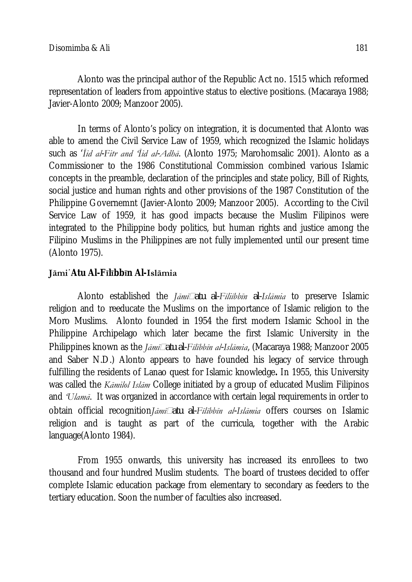Alonto was the principal author of the Republic Act no. 1515 which reformed representation of leaders from appointive status to elective positions. (Macaraya 1988; Javier-Alonto 2009; Manzoor 2005).

In terms of Alonto's policy on integration, it is documented that Alonto was able to amend the Civil Service Law of 1959, which recognized the Islamic holidays such as '*Īid al-Fitr and 'Īid al-Adhā*. (Alonto 1975; Marohomsalic 2001). Alonto as a Commissioner to the 1986 Constitutional Commission combined various Islamic concepts in the preamble, declaration of the principles and state policy, Bill of Rights, social justice and human rights and other provisions of the 1987 Constitution of the Philippine Governemnt (Javier-Alonto 2009; Manzoor 2005). According to the Civil Service Law of 1959, it has good impacts because the Muslim Filipinos were integrated to the Philippine body politics, but human rights and justice among the Filipino Muslims in the Philippines are not fully implemented until our present time (Alonto 1975).

### **Jāmi**῾**Atu Al-Fīlībbīn Al-Islāmia**

Alonto established the *Jāmīatu al-Fīliībbīn al-Islāmia* to preserve Islamic religion and to reeducate the Muslims on the importance of Islamic religion to the Moro Muslims. Alonto founded in 1954 the first modern Islamic School in the Philippine Archipelago which later became the first Islamic University in the Philippines known as the *Jāmīatu al-Fīlībbīn al-Islāmia*, (Macaraya 1988; Manzoor 2005 and Saber N.D.) Alonto appears to have founded his legacy of service through fulfilling the residents of Lanao quest for Islamic knowledge**.** In 1955, this University was called the *Kāmilol Islām* College initiated by a group of educated Muslim Filipinos and *'Ulamā*. It was organized in accordance with certain legal requirements in order to obtain official recognition*Jāmīatu al-Fīlībbīn al-Islāmia* offers courses on Islamic religion and is taught as part of the curricula, together with the Arabic language(Alonto 1984).

From 1955 onwards, this university has increased its enrollees to two thousand and four hundred Muslim students. The board of trustees decided to offer complete Islamic education package from elementary to secondary as feeders to the tertiary education. Soon the number of faculties also increased.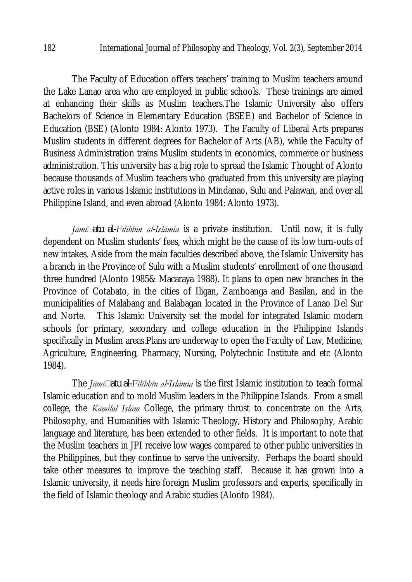The Faculty of Education offers teachers' training to Muslim teachers around the Lake Lanao area who are employed in public schools. These trainings are aimed at enhancing their skills as Muslim teachers.The Islamic University also offers Bachelors of Science in Elementary Education (BSEE) and Bachelor of Science in Education (BSE) (Alonto 1984: Alonto 1973). The Faculty of Liberal Arts prepares Muslim students in different degrees for Bachelor of Arts (AB), while the Faculty of Business Administration trains Muslim students in economics, commerce or business administration. This university has a big role to spread the Islamic Thought of Alonto because thousands of Muslim teachers who graduated from this university are playing active roles in various Islamic institutions in Mindanao, Sulu and Palawan, and over all Philippine Island, and even abroad (Alonto 1984: Alonto 1973).

*Jāmīatu al-Fīlībbīn al-Islāmia* is a private institution. Until now, it is fully dependent on Muslim students' fees, which might be the cause of its low turn-outs of new intakes. Aside from the main faculties described above, the Islamic University has a branch in the Province of Sulu with a Muslim students' enrollment of one thousand three hundred (Alonto 1985& Macaraya 1988). It plans to open new branches in the Province of Cotabato, in the cities of Iligan, Zamboanga and Basilan, and in the municipalities of Malabang and Balabagan located in the Province of Lanao Del Sur and Norte. This Islamic University set the model for integrated Islamic modern schools for primary, secondary and college education in the Philippine Islands specifically in Muslim areas.Plans are underway to open the Faculty of Law, Medicine, Agriculture, Engineering, Pharmacy, Nursing, Polytechnic Institute and etc (Alonto 1984).

The *Jāmīatu al-Fīlībbīn al-Islāmia* is the first Islamic institution to teach formal Islamic education and to mold Muslim leaders in the Philippine Islands. From a small college, the *Kāmilol Islām* College, the primary thrust to concentrate on the Arts, Philosophy, and Humanities with Islamic Theology, History and Philosophy, Arabic language and literature, has been extended to other fields. It is important to note that the Muslim teachers in JPI receive low wages compared to other public universities in the Philippines, but they continue to serve the university. Perhaps the board should take other measures to improve the teaching staff. Because it has grown into a Islamic university, it needs hire foreign Muslim professors and experts, specifically in the field of Islamic theology and Arabic studies (Alonto 1984).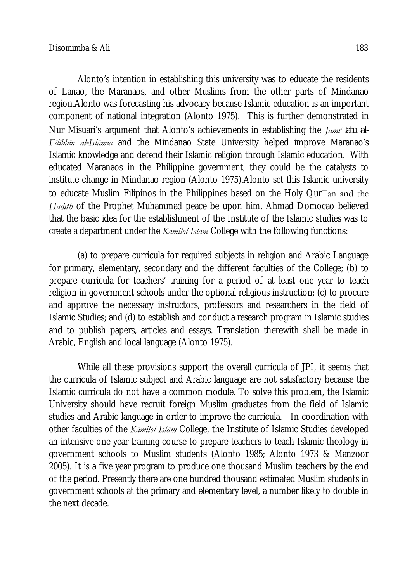Alonto's intention in establishing this university was to educate the residents of Lanao, the Maranaos, and other Muslims from the other parts of Mindanao region.Alonto was forecasting his advocacy because Islamic education is an important component of national integration (Alonto 1975). This is further demonstrated in Nur Misuari's argument that Alonto's achievements in establishing the *Jāmīatu al-Fīlībbīn al-Islāmia* and the Mindanao State University helped improve Maranao's Islamic knowledge and defend their Islamic religion through Islamic education. With educated Maranaos in the Philippine government, they could be the catalysts to institute change in Mindanao region (Alonto 1975).Alonto set this Islamic university to educate Muslim Filipinos in the Philippines based on the Holy Qur $\Box$ an and the *Hadīth* of the Prophet Muhammad peace be upon him. Ahmad Domocao believed that the basic idea for the establishment of the Institute of the Islamic studies was to create a department under the *Kāmilol Islām* College with the following functions:

(a) to prepare curricula for required subjects in religion and Arabic Language for primary, elementary, secondary and the different faculties of the College; (b) to prepare curricula for teachers' training for a period of at least one year to teach religion in government schools under the optional religious instruction; (c) to procure and approve the necessary instructors, professors and researchers in the field of Islamic Studies; and (d) to establish and conduct a research program in Islamic studies and to publish papers, articles and essays. Translation therewith shall be made in Arabic, English and local language (Alonto 1975).

While all these provisions support the overall curricula of JPI, it seems that the curricula of Islamic subject and Arabic language are not satisfactory because the Islamic curricula do not have a common module. To solve this problem, the Islamic University should have recruit foreign Muslim graduates from the field of Islamic studies and Arabic language in order to improve the curricula. In coordination with other faculties of the *Kāmilol Islām* College, the Institute of Islamic Studies developed an intensive one year training course to prepare teachers to teach Islamic theology in government schools to Muslim students (Alonto 1985; Alonto 1973 & Manzoor 2005). It is a five year program to produce one thousand Muslim teachers by the end of the period. Presently there are one hundred thousand estimated Muslim students in government schools at the primary and elementary level, a number likely to double in the next decade.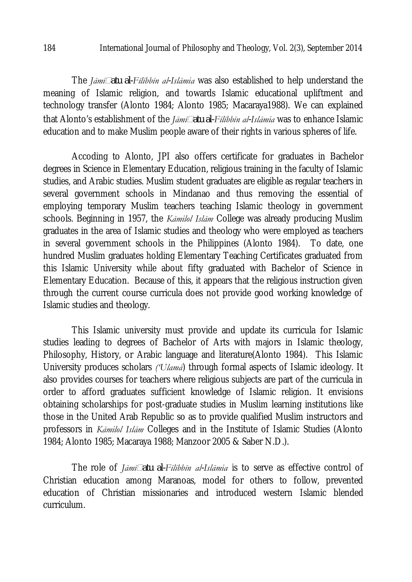The *Jāmīatu al-Fīlībbīn al-Islāmia* was also established to help understand the meaning of Islamic religion, and towards Islamic educational upliftment and technology transfer (Alonto 1984; Alonto 1985; Macaraya1988). We can explained that Alonto's establishment of the *Jāmīatu al-Fīlībbīn al-Islāmia* was to enhance Islamic education and to make Muslim people aware of their rights in various spheres of life.

Accoding to Alonto, JPI also offers certificate for graduates in Bachelor degrees in Science in Elementary Education, religious training in the faculty of Islamic studies, and Arabic studies. Muslim student graduates are eligible as regular teachers in several government schools in Mindanao and thus removing the essential of employing temporary Muslim teachers teaching Islamic theology in government schools. Beginning in 1957, the *Kāmilol Islām* College was already producing Muslim graduates in the area of Islamic studies and theology who were employed as teachers in several government schools in the Philippines (Alonto 1984). To date, one hundred Muslim graduates holding Elementary Teaching Certificates graduated from this Islamic University while about fifty graduated with Bachelor of Science in Elementary Education. Because of this, it appears that the religious instruction given through the current course curricula does not provide good working knowledge of Islamic studies and theology.

This Islamic university must provide and update its curricula for Islamic studies leading to degrees of Bachelor of Arts with majors in Islamic theology, Philosophy, History, or Arabic language and literature(Alonto 1984). This Islamic University produces scholars *('Ulamā*) through formal aspects of Islamic ideology. It also provides courses for teachers where religious subjects are part of the curricula in order to afford graduates sufficient knowledge of Islamic religion. It envisions obtaining scholarships for post-graduate studies in Muslim learning institutions like those in the United Arab Republic so as to provide qualified Muslim instructors and professors in *Kāmilol Islām* Colleges and in the Institute of Islamic Studies (Alonto 1984; Alonto 1985; Macaraya 1988; Manzoor 2005 & Saber N.D.).

The role of *Jāmīatu al-Fīlībbīn al-Islāmia* is to serve as effective control of Christian education among Maranoas, model for others to follow, prevented education of Christian missionaries and introduced western Islamic blended curriculum.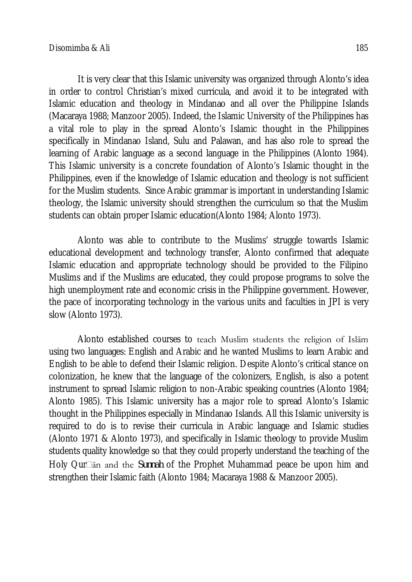It is very clear that this Islamic university was organized through Alonto's idea in order to control Christian's mixed curricula, and avoid it to be integrated with Islamic education and theology in Mindanao and all over the Philippine Islands (Macaraya 1988; Manzoor 2005). Indeed, the Islamic University of the Philippines has a vital role to play in the spread Alonto's Islamic thought in the Philippines specifically in Mindanao Island, Sulu and Palawan, and has also role to spread the learning of Arabic language as a second language in the Philippines (Alonto 1984). This Islamic university is a concrete foundation of Alonto's Islamic thought in the Philippines, even if the knowledge of Islamic education and theology is not sufficient for the Muslim students. Since Arabic grammar is important in understanding Islamic theology, the Islamic university should strengthen the curriculum so that the Muslim students can obtain proper Islamic education(Alonto 1984; Alonto 1973).

Alonto was able to contribute to the Muslims' struggle towards Islamic educational development and technology transfer, Alonto confirmed that adequate Islamic education and appropriate technology should be provided to the Filipino Muslims and if the Muslims are educated, they could propose programs to solve the high unemployment rate and economic crisis in the Philippine government. However, the pace of incorporating technology in the various units and faculties in JPI is very slow (Alonto 1973).

Alonto established courses to teach Muslim students the religion of Islām using two languages: English and Arabic and he wanted Muslims to learn Arabic and English to be able to defend their Islamic religion. Despite Alonto's critical stance on colonization, he knew that the language of the colonizers, English, is also a potent instrument to spread Islamic religion to non-Arabic speaking countries (Alonto 1984; Alonto 1985). This Islamic university has a major role to spread Alonto's Islamic thought in the Philippines especially in Mindanao Islands. All this Islamic university is required to do is to revise their curricula in Arabic language and Islamic studies (Alonto 1971 & Alonto 1973), and specifically in Islamic theology to provide Muslim students quality knowledge so that they could properly understand the teaching of the Holy Qurān and the *Sunnah* of the Prophet Muhammad peace be upon him and strengthen their Islamic faith (Alonto 1984; Macaraya 1988 & Manzoor 2005).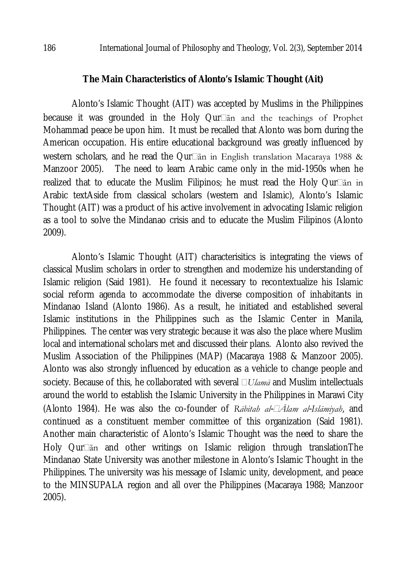#### **The Main Characteristics of Alonto's Islamic Thought (Ait)**

Alonto's Islamic Thought (AIT) was accepted by Muslims in the Philippines because it was grounded in the Holy  $Qur\Box$ an and the teachings of Prophet Mohammad peace be upon him. It must be recalled that Alonto was born during the American occupation. His entire educational background was greatly influenced by western scholars, and he read the Qur $\square$ an in English translation Macaraya 1988 & Manzoor 2005). The need to learn Arabic came only in the mid-1950s when he realized that to educate the Muslim Filipinos; he must read the Holy Qur $\Box$  in Arabic textAside from classical scholars (western and Islamic), Alonto's Islamic Thought (AIT) was a product of his active involvement in advocating Islamic religion as a tool to solve the Mindanao crisis and to educate the Muslim Filipinos (Alonto 2009).

Alonto's Islamic Thought (AIT) characterisitics is integrating the views of classical Muslim scholars in order to strengthen and modernize his understanding of Islamic religion (Said 1981). He found it necessary to recontextualize his Islamic social reform agenda to accommodate the diverse composition of inhabitants in Mindanao Island (Alonto 1986). As a result, he initiated and established several Islamic institutions in the Philippines such as the Islamic Center in Manila, Philippines. The center was very strategic because it was also the place where Muslim local and international scholars met and discussed their plans. Alonto also revived the Muslim Association of the Philippines (MAP) (Macaraya 1988 & Manzoor 2005). Alonto was also strongly influenced by education as a vehicle to change people and society. Because of this, he collaborated with several *Ulamā* and Muslim intellectuals around the world to establish the Islamic University in the Philippines in Marawi City (Alonto 1984). He was also the co-founder of *Rābitah al-Ālam al-Islāmiyah*, and continued as a constituent member committee of this organization (Said 1981). Another main characteristic of Alonto's Islamic Thought was the need to share the Holy Qur $\Box$ an and other writings on Islamic religion through translationThe Mindanao State University was another milestone in Alonto's Islamic Thought in the Philippines. The university was his message of Islamic unity, development, and peace to the MINSUPALA region and all over the Philippines (Macaraya 1988; Manzoor 2005).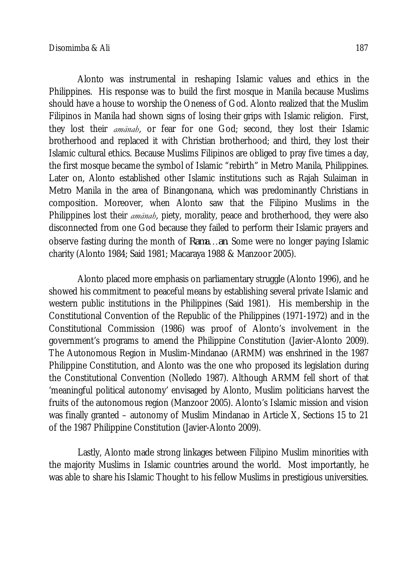Alonto was instrumental in reshaping Islamic values and ethics in the Philippines. His response was to build the first mosque in Manila because Muslims should have a house to worship the Oneness of God. Alonto realized that the Muslim Filipinos in Manila had shown signs of losing their grips with Islamic religion. First, they lost their *amānah*, or fear for one God; second, they lost their Islamic brotherhood and replaced it with Christian brotherhood; and third, they lost their Islamic cultural ethics. Because Muslims Filipinos are obliged to pray five times a day, the first mosque became the symbol of Islamic "rebirth" in Metro Manila, Philippines. Later on, Alonto established other Islamic institutions such as Rajah Sulaiman in Metro Manila in the area of Binangonana, which was predominantly Christians in composition. Moreover, when Alonto saw that the Filipino Muslims in the Philippines lost their *amānah*, piety, morality, peace and brotherhood, they were also disconnected from one God because they failed to perform their Islamic prayers and observe fasting during the month of *Rama...an*. Some were no longer paying Islamic charity (Alonto 1984; Said 1981; Macaraya 1988 & Manzoor 2005).

Alonto placed more emphasis on parliamentary struggle (Alonto 1996), and he showed his commitment to peaceful means by establishing several private Islamic and western public institutions in the Philippines (Said 1981). His membership in the Constitutional Convention of the Republic of the Philippines (1971-1972) and in the Constitutional Commission (1986) was proof of Alonto's involvement in the government's programs to amend the Philippine Constitution (Javier-Alonto 2009). The Autonomous Region in Muslim-Mindanao (ARMM) was enshrined in the 1987 Philippine Constitution, and Alonto was the one who proposed its legislation during the Constitutional Convention (Nolledo 1987). Although ARMM fell short of that 'meaningful political autonomy' envisaged by Alonto, Muslim politicians harvest the fruits of the autonomous region (Manzoor 2005). Alonto's Islamic mission and vision was finally granted – autonomy of Muslim Mindanao in Article X, Sections 15 to 21 of the 1987 Philippine Constitution (Javier-Alonto 2009).

Lastly, Alonto made strong linkages between Filipino Muslim minorities with the majority Muslims in Islamic countries around the world. Most importantly, he was able to share his Islamic Thought to his fellow Muslims in prestigious universities.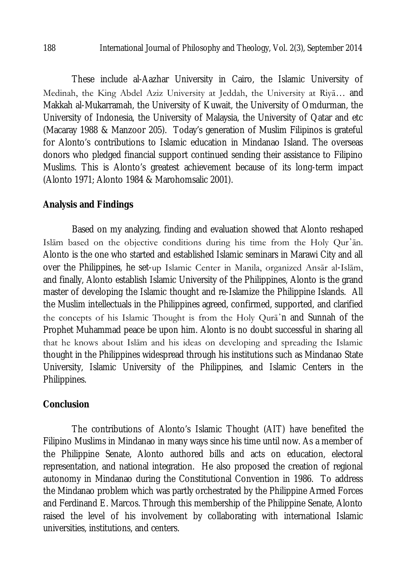These include al-Aazhar University in Cairo, the Islamic University of Medinah, the King Abdel Aziz University at Jeddah, the University at Riya... and Makkah al-Mukarramah, the University of Kuwait, the University of Omdurman, the University of Indonesia, the University of Malaysia, the University of Qatar and etc (Macaray 1988 & Manzoor 205). Today's generation of Muslim Filipinos is grateful for Alonto's contributions to Islamic education in Mindanao Island. The overseas donors who pledged financial support continued sending their assistance to Filipino Muslims. This is Alonto's greatest achievement because of its long-term impact (Alonto 1971; Alonto 1984 & Marohomsalic 2001).

### **Analysis and Findings**

Based on my analyzing, finding and evaluation showed that Alonto reshaped Islām based on the objective conditions during his time from the Holy Qur᾽ān. Alonto is the one who started and established Islamic seminars in Marawi City and all over the Philippines, he set-up Islamic Center in Manila, organized Ansār al-Islām, and finally, Alonto establish Islamic University of the Philippines, Alonto is the grand master of developing the Islamic thought and re-Islamize the Philippine Islands. All the Muslim intellectuals in the Philippines agreed, confirmed, supported, and clarified the concepts of his Islamic Thought is from the Holy Qurā᾽n and Sunnah of the Prophet Muhammad peace be upon him. Alonto is no doubt successful in sharing all that he knows about Islām and his ideas on developing and spreading the Islamic thought in the Philippines widespread through his institutions such as Mindanao State University, Islamic University of the Philippines, and Islamic Centers in the Philippines.

#### **Conclusion**

The contributions of Alonto's Islamic Thought (AIT) have benefited the Filipino Muslims in Mindanao in many ways since his time until now. As a member of the Philippine Senate, Alonto authored bills and acts on education, electoral representation, and national integration. He also proposed the creation of regional autonomy in Mindanao during the Constitutional Convention in 1986. To address the Mindanao problem which was partly orchestrated by the Philippine Armed Forces and Ferdinand E. Marcos. Through this membership of the Philippine Senate, Alonto raised the level of his involvement by collaborating with international Islamic universities, institutions, and centers.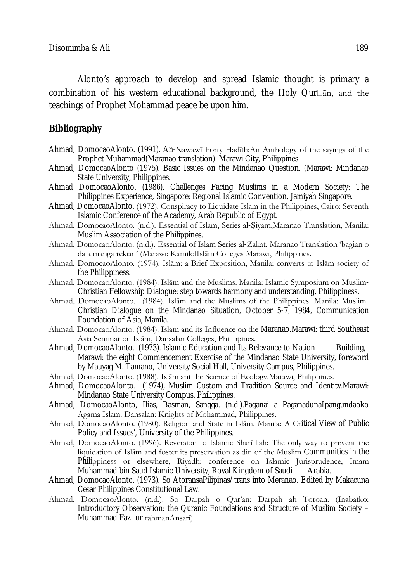Alonto's approach to develop and spread Islamic thought is primary a combination of his western educational background, the Holy Qur $\Box$ an, and the teachings of Prophet Mohammad peace be upon him.

#### **Bibliography**

- Ahmad, DomocaoAlonto. (1991). An-Nawawī Forty Hadīth:An Anthology of the sayings of the Prophet Muhammad(Maranao translation). Marawi City, Philippines.
- Ahmad, DomocaoAlonto (1975). Basic Issues on the Mindanao Question, (Marawi: Mindanao State University, Philippines.
- Ahmad DomocaoAlonto. (1986). Challenges Facing Muslims in a Modern Society: The Philippines Experience, Singapore: Regional Islamic Convention, Jamiyah Singapore.
- Ahmad, DomocaoAlonto. (1972). Conspiracy to Liquidate Islām in the Philippines, Cairo: Seventh Islamic Conference of the Academy, Arab Republic of Egypt.
- Ahmad, DomocaoAlonto. (n.d.). Essential of Islām, Series al-Ṣiyām,Maranao Translation, Manila: Muslim Association of the Philippines.
- Ahmad, DomocaoAlonto. (n.d.). Essential of Islām Series al-Zakāt, Maranao Translation 'bagian o da a manga rekian' (Marawi: KamilolIslām Colleges Marawi, Philippines.
- Ahmad, DomocaoAlonto. (1974). Islām: a Brief Exposition, Manila: converts to Islām society of the Philippiness.
- Ahmad, DomocaoAlonto. (1984). Islām and the Muslims. Manila: Islamic Symposium on Muslim-Christian Fellowship Dialogue: step towards harmony and understanding, Philippiness.
- Ahmad, DomocaoAlonto. (1984). Islām and the Muslims of the Philippines. Manila: Muslim-Christian Dialogue on the Mindanao Situation, October 5-7, 1984, Communication Foundation of Asia, Manila.
- Ahmad, DomocaoAlonto. (1984). Islām and its Influence on the Maranao.Marawi: third Southeast Asia Seminar on Islām, Dansalan Colleges, Philippines.
- Ahmad, DomocaoAlonto. (1973). Islamic Education and Its Relevance to Nation- Building, Marawi: the eight Commencement Exercise of the Mindanao State University, foreword by Mauyag M. Tamano, University Social Hall, University Campus, Philippines.
- Ahmad, DomocaoAlonto. (1988). Islām ant the Science of Ecology.Marawi, Philippines.
- Ahmad, DomocaoAlonto. (1974), Muslim Custom and Tradition Source and Identity.Marawi: Mindanao State University Compus, Philippines.
- Ahmad, DomocaoAlonto, Ilias, Basman, Sangga. (n.d.).Paganai a PaganadunaIpangundaoko Agama Islām. Dansalan: Knights of Mohammad, Philippines.
- Ahmad, DomocaoAlonto. (1980). Religion and State in Islām. Manila: A Critical View of Public Policy and Issues', University of the Philippines.
- Ahmad, DomocaoAlonto. (1996). Reversion to Islamic Shari $\square$ ah: The only way to prevent the liquidation of Islām and foster its preservation as din of the Muslim Communities in the Philippiness or elsewhere, Riyadh: conference on Islamic Jurisprudence, Imām Muhammad bin Saud Islamic University, Royal Kingdom of Saudi Arabia.
- Ahmad, DomocaoAlonto. (1973). So AtoransaPilipinas/trans into Meranao. Edited by Makacuna Cesar Philippines Constitutional Law.
- Ahmad, DomocaoAlonto. (n.d.). So Darpah o Qur'ān: Darpah ah Toroan. (Inabatko: Introductory Observation: the Quranic Foundations and Structure of Muslim Society – Muhammad Fazl-ur-rahmanAnsarī).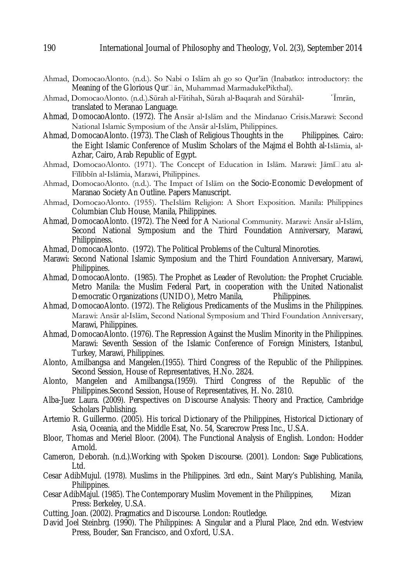- Ahmad, DomocaoAlonto. (n.d.). So Nabi o Islām ah go so Qur'ān (Inabatko: introductory: the Meaning of the Glorious Qur<sup>n</sup> an, Muhammad MarmadukePikthal).
- Ahmad, DomocaoAlonto. (n.d.).Sūrah al-Fātihah, Sūrah al-Baqarah and Sūrahāl- <sup>'</sup>Īmrān, translated to Meranao Language.
- Ahmad, DomocaoAlonto. (1972). The Ansār al-Islām and the Mindanao Crisis.Marawi: Second National Islamic Symposium of the Ansār al-Islām, Philippines.
- Ahmad, DomocaoAlonto. (1973). The Clash of Religious Thoughts in the Philippines. Cairo: the Eight Islamic Conference of Muslim Scholars of the Maima el Bohth al-Islamia, al-Azhar, Cairo, Arab Republic of Egypt.
- Ahmad, DomocaoAlonto. (1971). The Concept of Education in Islām. Marawi: Jāmīlatu al-Fīlībbīn al-Islāmia, Marawi, Philippines.
- Ahmad, DomocaoAlonto. (n.d.). The Impact of Islām on the Socio-Economic Development of Maranao Society An Outline. Papers Manuscript.
- Ahmad, DomocaoAlonto. (1955). TheIslām Religion: A Short Exposition. Manila: Philippines Columbian Club House, Manila, Philippines.
- Ahmad, DomocaoAlonto. (1972). The Need for A National Community. Marawi: Ansār al-Islām, Second National Symposium and the Third Foundation Anniversary, Marawi, Philippiness.
- Ahmad, DomocaoAlonto. (1972). The Political Problems of the Cultural Minoroties.
- Marawi: Second National Islamic Symposium and the Third Foundation Anniversary, Marawi, Philippines.
- Ahmad, DomocaoAlonto. (1985). The Prophet as Leader of Revolution: the Prophet Cruciable. Metro Manila: the Muslim Federal Part, in cooperation with the United Nationalist<br>Democratic Organizations (UNIDO), Metro Manila, Philippines. Democratic Organizations (UNIDO), Metro Manila,
- Ahmad, DomocaoAlonto. (1972). The Religious Predicaments of the Muslims in the Philippines. Marawi: Ansār al-Islām, Second National Symposium and Third Foundation Anniversary, Marawi, Philippines.
- Ahmad, DomocaoAlonto. (1976). The Repression Against the Muslim Minority in the Philippines. Marawi: Seventh Session of the Islamic Conference of Foreign Ministers, Istanbul, Turkey, Marawi, Philippines.
- Alonto, Amilbangsa and Mangelen.(1955). Third Congress of the Republic of the Philippines. Second Session, House of Representatives, H.No. 2824.
- Alonto, Mangelen and Amilbangsa.(1959). Third Congress of the Republic of the Philippines.Second Session, House of Representatives, H. No. 2810.
- Alba-Juez Laura. (2009). Perspectives on Discourse Analysis: Theory and Practice, Cambridge Scholars Publishing.
- Artemio R. Guillermo. (2005). His torical Dictionary of the Philippines, Historical Dictionary of Asia, Oceania, and the Middle Esat, No. 54, Scarecrow Press Inc., U.S.A.
- Bloor, Thomas and Meriel Bloor. (2004). The Functional Analysis of English. London: Hodder Arnold.
- Cameron, Deborah. (n.d.).Working with Spoken Discourse. (2001). London: Sage Publications, Ltd.
- Cesar AdibMujul. (1978). Muslims in the Philippines. 3rd edn., Saint Mary's Publishing, Manila, Philippines.
- Cesar AdibMajul. (1985). The Contemporary Muslim Movement in the Philippines, Mizan Press: Berkeley, U.S.A.
- Cutting, Joan. (2002). Pragmatics and Discourse. London: Routledge.
- David Joel Steinbrg. (1990). The Philippines: A Singular and a Plural Place, 2nd edn. Westview Press, Bouder, San Francisco, and Oxford, U.S.A.